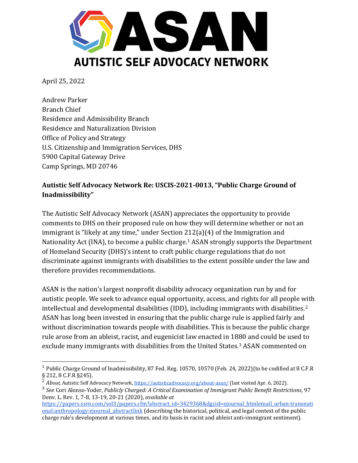

April 25, 2022

Andrew Parker Branch Chief Residence and Admissibility Branch Residence and Naturalization Division Office of Policy and Strategy U.S. Citizenship and Immigration Services, DHS 5900 Capital Gateway Drive Camp Springs, MD 20746

### **Autistic Self Advocacy Network Re: USCIS-2021-0013, "Public Charge Ground of Inadmissibility"**

The Autistic Self Advocacy Network (ASAN) appreciates the opportunity to provide comments to DHS on their proposed rule on how they will determine whether or not an immigrant is "likely at any time," under Section 212(a)(4) of the Immigration and Nationality Act (INA), to become a public charge.<sup>1</sup> ASAN strongly supports the Department of Homeland Security (DHS)'s intent to craft public charge regulations that do not discriminate against immigrants with disabilities to the extent possible under the law and therefore provides recommendations.

ASAN is the nation's largest nonprofit disability advocacy organization run by and for autistic people. We seek to advance equal opportunity, access, and rights for all people with intellectual and developmental disabilities (IDD), including immigrants with disabilities.<sup>2</sup> ASAN has long been invested in ensuring that the public charge rule is applied fairly and without discrimination towards people with disabilities. This is because the public charge rule arose from an ableist, racist, and eugenicist law enacted in 1880 and could be used to exclude many immigrants with disabilities from the United States.<sup>3</sup> ASAN commented on

<sup>1</sup> Public Charge Ground of Inadmissibility, 87 Fed. Reg. 10570, 10570 (Feb. 24, 2022)(to be codified at 8 C.F.R § 212, 8 C.F.R §245).

<sup>&</sup>lt;sup>2</sup> About, Autistic Self Advocacy Network, <u>https://autisticadvocacy.org/about-asan/</u> (last visited Apr. 6, 2022).

<sup>3</sup> *See* Cori Alonso-Yoder, *Publicly Charged: A Critical Examination of Immigrant Public Benefit Restrictions*, 97 Denv. L. Rev. 1, 7-8, 13-19, 20-21 (2020), *available at* 

[https://papers.ssrn.com/sol3/papers.cfm?abstract\\_id=3429368&dgcid=ejournal\\_htmlemail\\_urban:transnati](https://papers.ssrn.com/sol3/papers.cfm?abstract_id=3429368&dgcid=ejournal_htmlemail_urban:transnational:anthropology:ejournal_abstractlink) [onal:anthropology:ejournal\\_abstractlink](https://papers.ssrn.com/sol3/papers.cfm?abstract_id=3429368&dgcid=ejournal_htmlemail_urban:transnational:anthropology:ejournal_abstractlink) (describing the historical, political, and legal context of the public charge rule's development at various times, and its basis in racist and ableist anti-immigrant sentiment).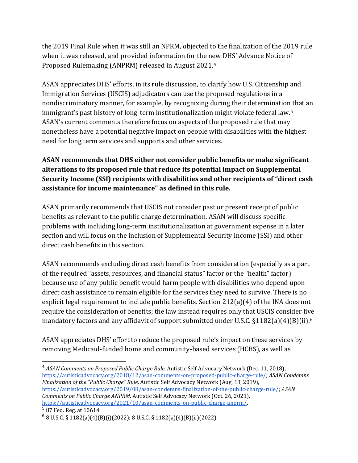the 2019 Final Rule when it was still an NPRM, objected to the finalization of the 2019 rule when it was released, and provided information for the new DHS' Advance Notice of Proposed Rulemaking (ANPRM) released in August 2021.<sup>4</sup>

ASAN appreciates DHS' efforts, in its rule discussion, to clarify how U.S. Citizenship and Immigration Services (USCIS) adjudicators can use the proposed regulations in a nondiscriminatory manner, for example, by recognizing during their determination that an immigrant's past history of long-term institutionalization might violate federal law.<sup>5</sup> ASAN's current comments therefore focus on aspects of the proposed rule that may nonetheless have a potential negative impact on people with disabilities with the highest need for long term services and supports and other services.

# **ASAN recommends that DHS either not consider public benefits or make significant alterations to its proposed rule that reduce its potential impact on Supplemental Security Income (SSI) recipients with disabilities and other recipients of "direct cash assistance for income maintenance" as defined in this rule.**

ASAN primarily recommends that USCIS not consider past or present receipt of public benefits as relevant to the public charge determination. ASAN will discuss specific problems with including long-term institutionalization at government expense in a later section and will focus on the inclusion of Supplemental Security Income (SSI) and other direct cash benefits in this section.

ASAN recommends excluding direct cash benefits from consideration (especially as a part of the required "assets, resources, and financial status" factor or the "health" factor) because use of any public benefit would harm people with disabilities who depend upon direct cash assistance to remain eligible for the services they need to survive. There is no explicit legal requirement to include public benefits. Section 212(a)(4) of the INA does not require the consideration of benefits; the law instead requires only that USCIS consider five mandatory factors and any affidavit of support submitted under U.S.C. §1182(a)(4)(B)(ii).<sup>6</sup>

ASAN appreciates DHS' effort to reduce the proposed rule's impact on these services by removing Medicaid-funded home and community-based services (HCBS), as well as

<sup>&</sup>lt;sup>4</sup> ASAN Comments on Proposed Public Charge Rule, Autistic Self Advocacy Network (Dec. 11, 2018), [https://autisticadvocacy.org/2018/12/asan-comments-on-proposed-public-charge-rule/;](https://autisticadvocacy.org/2018/12/asan-comments-on-proposed-public-charge-rule/) *ASAN Condemns Finalization of the "Public Charge" Rule,* Autistic Self Advocacy Network (Aug. 13, 2019), [https://autisticadvocacy.org/2019/08/asan-condemns-finalization-of-the-public-charge-rule/;](https://autisticadvocacy.org/2019/08/asan-condemns-finalization-of-the-public-charge-rule/) *ASAN Comments on Public Charge ANPRM,* Autistic Self Advocacy Network (Oct. 26, 2021), [https://autisticadvocacy.org/2021/10/asan-comments-on-public-charge-anprm/.](https://autisticadvocacy.org/2021/10/asan-comments-on-public-charge-anprm/)

<sup>5</sup> 87 Fed. Reg. at 10614.

 $6$  8 U.S.C. § 1182(a)(4)(B)(i)(2022); 8 U.S.C. § 1182(a)(4)(B)(ii)(2022).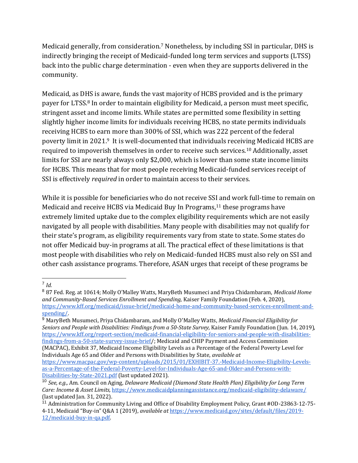Medicaid generally, from consideration.<sup>7</sup> Nonetheless, by including SSI in particular, DHS is indirectly bringing the receipt of Medicaid-funded long term services and supports (LTSS) back into the public charge determination - even when they are supports delivered in the community.

Medicaid, as DHS is aware, funds the vast majority of HCBS provided and is the primary payer for LTSS.<sup>8</sup> In order to maintain eligibility for Medicaid, a person must meet specific, stringent asset and income limits. While states are permitted some flexibility in setting slightly higher income limits for individuals receiving HCBS, no state permits individuals receiving HCBS to earn more than 300% of SSI, which was 222 percent of the federal poverty limit in 2021.9 It is well-documented that individuals receiving Medicaid HCBS are required to impoverish themselves in order to receive such services.<sup>10</sup> Additionally, asset limits for SSI are nearly always only \$2,000, which is lower than some state income limits for HCBS. This means that for most people receiving Medicaid-funded services receipt of SSI is effectively *required* in order to maintain access to their services.

While it is possible for beneficiaries who do not receive SSI and work full-time to remain on Medicaid and receive HCBS via Medicaid Buy In Programs,<sup>11</sup> these programs have extremely limited uptake due to the complex eligibility requirements which are not easily navigated by all people with disabilities. Many people with disabilities may not qualify for their state's program, as eligibility requirements vary from state to state. Some states do not offer Medicaid buy-in programs at all. The practical effect of these limitations is that most people with disabilities who rely on Medicaid-funded HCBS must also rely on SSI and other cash assistance programs. Therefore, ASAN urges that receipt of these programs be

 $\overline{a}$ 

<sup>9</sup> MaryBeth Musumeci, Priya Chidambaram, and Molly O'Malley Watts, *Medicaid Financial Eligibility for Seniors and People with Disabilities: Findings from a 50-State Survey,* Kaiser Family Foundation (Jun. 14, 2019), [https://www.kff.org/report-section/medicaid-financial-eligibility-for-seniors-and-people-with-disabilities](https://www.kff.org/report-section/medicaid-financial-eligibility-for-seniors-and-people-with-disabilities-findings-from-a-50-state-survey-issue-brief/#endnote_link_409060-58)[findings-from-a-50-state-survey-issue-brief/](https://www.kff.org/report-section/medicaid-financial-eligibility-for-seniors-and-people-with-disabilities-findings-from-a-50-state-survey-issue-brief/#endnote_link_409060-58); Medicaid and CHIP Payment and Access Commission (MACPAC), Exhibit 37, Medicaid Income Eligibility Levels as a Percentage of the Federal Poverty Level for

Individuals Age 65 and Older and Persons with Disabilities by State, *available at* 

<sup>7</sup> *Id.* 

<sup>8</sup> 87 Fed. Reg. at 10614; Molly O'Malley Watts, MaryBeth Musumeci and Priya Chidambaram, *Medicaid Home and Community-Based Services Enrollment and Spending,* Kaiser Family Foundation (Feb. 4, 2020), [https://www.kff.org/medicaid/issue-brief/medicaid-home-and-community-based-services-enrollment-and](https://www.kff.org/medicaid/issue-brief/medicaid-home-and-community-based-services-enrollment-and-spending/)[spending/.](https://www.kff.org/medicaid/issue-brief/medicaid-home-and-community-based-services-enrollment-and-spending/)

[https://www.macpac.gov/wp-content/uploads/2015/01/EXHIBIT-37.-Medicaid-Income-Eligibility-Levels](https://www.macpac.gov/wp-content/uploads/2015/01/EXHIBIT-37.-Medicaid-Income-Eligibility-Levels-as-a-Percentage-of-the-Federal-Poverty-Level-for-Individuals-Age-65-and-Older-and-Persons-with-Disabilities-by-State-2021.pdf)[as-a-Percentage-of-the-Federal-Poverty-Level-for-Individuals-Age-65-and-Older-and-Persons-with-](https://www.macpac.gov/wp-content/uploads/2015/01/EXHIBIT-37.-Medicaid-Income-Eligibility-Levels-as-a-Percentage-of-the-Federal-Poverty-Level-for-Individuals-Age-65-and-Older-and-Persons-with-Disabilities-by-State-2021.pdf)[Disabilities-by-State-2021.pdf](https://www.macpac.gov/wp-content/uploads/2015/01/EXHIBIT-37.-Medicaid-Income-Eligibility-Levels-as-a-Percentage-of-the-Federal-Poverty-Level-for-Individuals-Age-65-and-Older-and-Persons-with-Disabilities-by-State-2021.pdf) (last updated 2021).

<sup>10</sup> *See, e.g.,* Am. Council on Aging, *Delaware Medicaid (Diamond State Health Plan) Eligibility for Long Term Care: Income & Asset Limits,* <https://www.medicaidplanningassistance.org/medicaid-eligibility-delaware/> (last updated Jan. 31, 2022).

<sup>&</sup>lt;sup>11</sup> Administration for Community Living and Office of Disability Employment Policy, Grant #OD-23863-12-75-4-11, Medicaid "Buy-in" Q&A 1 (2019), *available at* [https://www.medicaid.gov/sites/default/files/2019-](https://www.medicaid.gov/sites/default/files/2019-12/medicaid-buy-in-qa.pdf) [12/medicaid-buy-in-qa.pdf.](https://www.medicaid.gov/sites/default/files/2019-12/medicaid-buy-in-qa.pdf)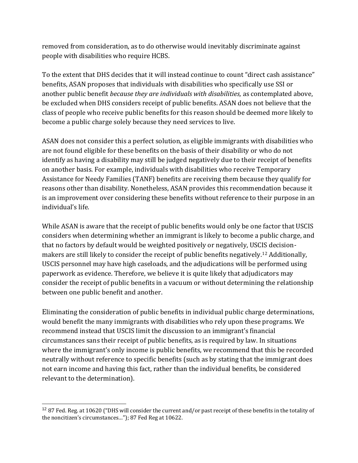removed from consideration, as to do otherwise would inevitably discriminate against people with disabilities who require HCBS.

To the extent that DHS decides that it will instead continue to count "direct cash assistance" benefits, ASAN proposes that individuals with disabilities who specifically use SSI or another public benefit *because they are individuals with disabilities,* as contemplated above, be excluded when DHS considers receipt of public benefits. ASAN does not believe that the class of people who receive public benefits for this reason should be deemed more likely to become a public charge solely because they need services to live.

ASAN does not consider this a perfect solution, as eligible immigrants with disabilities who are not found eligible for these benefits on the basis of their disability or who do not identify as having a disability may still be judged negatively due to their receipt of benefits on another basis. For example, individuals with disabilities who receive Temporary Assistance for Needy Families (TANF) benefits are receiving them because they qualify for reasons other than disability. Nonetheless, ASAN provides this recommendation because it is an improvement over considering these benefits without reference to their purpose in an individual's life.

While ASAN is aware that the receipt of public benefits would only be one factor that USCIS considers when determining whether an immigrant is likely to become a public charge, and that no factors by default would be weighted positively or negatively, USCIS decisionmakers are still likely to consider the receipt of public benefits negatively.<sup>12</sup> Additionally, USCIS personnel may have high caseloads, and the adjudications will be performed using paperwork as evidence. Therefore, we believe it is quite likely that adjudicators may consider the receipt of public benefits in a vacuum or without determining the relationship between one public benefit and another.

Eliminating the consideration of public benefits in individual public charge determinations, would benefit the many immigrants with disabilities who rely upon these programs. We recommend instead that USCIS limit the discussion to an immigrant's financial circumstances sans their receipt of public benefits, as is required by law. In situations where the immigrant's only income is public benefits, we recommend that this be recorded neutrally without reference to specific benefits (such as by stating that the immigrant does not earn income and having this fact, rather than the individual benefits, be considered relevant to the determination).

<sup>&</sup>lt;sup>12</sup> 87 Fed. Reg. at 10620 ("DHS will consider the current and/or past receipt of these benefits in the totality of the noncitizen's circumstances…"); 87 Fed Reg at 10622.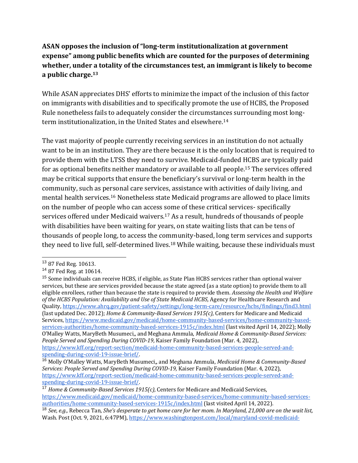### **ASAN opposes the inclusion of "long-term institutionalization at government expense" among public benefits which are counted for the purposes of determining whether, under a totality of the circumstances test, an immigrant is likely to become a public charge.<sup>13</sup>**

While ASAN appreciates DHS' efforts to minimize the impact of the inclusion of this factor on immigrants with disabilities and to specifically promote the use of HCBS, the Proposed Rule nonetheless fails to adequately consider the circumstances surrounding most longterm institutionalization, in the United States and elsewhere.<sup>14</sup>

The vast majority of people currently receiving services in an institution do not actually want to be in an institution. They are there because it is the only location that is required to provide them with the LTSS they need to survive. Medicaid-funded HCBS are typically paid for as optional benefits neither mandatory or available to all people.<sup>15</sup> The services offered may be critical supports that ensure the beneficiary's survival or long-term health in the community, such as personal care services, assistance with activities of daily living, and mental health services.<sup>16</sup> Nonetheless state Medicaid programs are allowed to place limits on the number of people who can access some of these critical services- specifically services offered under Medicaid waivers.<sup>17</sup> As a result, hundreds of thousands of people with disabilities have been waiting for years, on state waiting lists that can be tens of thousands of people long, to access the community-based, long term services and supports they need to live full, self-determined lives.<sup>18</sup> While waiting, because these individuals must

 $\overline{a}$ 

<sup>13</sup> 87 Fed Reg. 10613.

<sup>14</sup> 87 Fed Reg. at 10614.

<sup>&</sup>lt;sup>15</sup> Some individuals can receive HCBS, if eligible, as State Plan HCBS services rather than optional waiver services, but these are services provided because the state agreed (as a state option) to provide them to all eligible enrollees, rather than because the state is required to provide them. *Assessing the Health and Welfare*  of the HCBS Population: Availability and Use of State Medicaid HCBS, Agency for Healthcare Research and Quality[, https://www.ahrq.gov/patient-safety/settings/long-term-care/resource/hcbs/findings/find3.html](https://www.ahrq.gov/patient-safety/settings/long-term-care/resource/hcbs/findings/find3.html) (last updated Dec. 2012); *Home & Community-Based Services 1915(c),* Centers for Medicare and Medicaid Services[, https://www.medicaid.gov/medicaid/home-community-based-services/home-community-based](https://www.medicaid.gov/medicaid/home-community-based-services/home-community-based-services-authorities/home-community-based-services-1915c/index.html)[services-authorities/home-community-based-services-1915c/index.html](https://www.medicaid.gov/medicaid/home-community-based-services/home-community-based-services-authorities/home-community-based-services-1915c/index.html) (last visited April 14, 2022); Molly O'Malley Watts, MaryBeth Musumeci,, and Meghana Ammula, *Medicaid Home & Community-Based Services: People Served and Spending During COVID-19,* Kaiser Family Foundation (Mar. 4, 2022), [https://www.kff.org/report-section/medicaid-home-community-based-services-people-served-and](https://www.kff.org/report-section/medicaid-home-community-based-services-people-served-and-spending-during-covid-19-issue-brief/)[spending-during-covid-19-issue-brief/.](https://www.kff.org/report-section/medicaid-home-community-based-services-people-served-and-spending-during-covid-19-issue-brief/) 

<sup>16</sup> Molly O'Malley Watts, MaryBeth Musumeci,, and Meghana Ammula, *Medicaid Home & Community-Based Services: People Served and Spending During COVID-19,* Kaiser Family Foundation (Mar. 4, 2022), [https://www.kff.org/report-section/medicaid-home-community-based-services-people-served-and](https://www.kff.org/report-section/medicaid-home-community-based-services-people-served-and-spending-during-covid-19-issue-brief/)[spending-during-covid-19-issue-brief/.](https://www.kff.org/report-section/medicaid-home-community-based-services-people-served-and-spending-during-covid-19-issue-brief/) 

<sup>17</sup> *Home & Community-Based Services 1915(c),* Centers for Medicare and Medicaid Services, [https://www.medicaid.gov/medicaid/home-community-based-services/home-community-based-services](https://www.medicaid.gov/medicaid/home-community-based-services/home-community-based-services-authorities/home-community-based-services-1915c/index.html)[authorities/home-community-based-services-1915c/index.html](https://www.medicaid.gov/medicaid/home-community-based-services/home-community-based-services-authorities/home-community-based-services-1915c/index.html) (last visited April 14, 2022).

<sup>18</sup> *See, e.g.,* Rebecca Tan, *She's desperate to get home care for her mom. In Maryland, 21,000 are on the wait list,*  Wash. Post (Oct. 9, 2021, 6:47PM), [https://www.washingtonpost.com/local/maryland-covid-medicaid-](https://www.washingtonpost.com/local/maryland-covid-medicaid-waitlist/2021/10/07/37dfc41e-2214-11ec-b3d6-8cdebe60d3e2_story.html)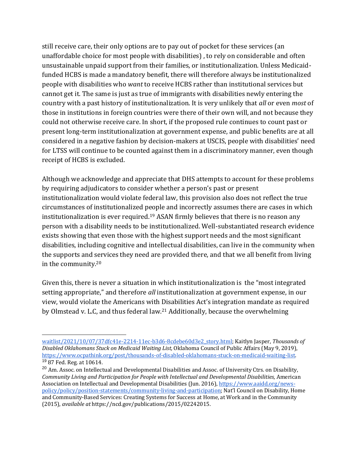still receive care, their only options are to pay out of pocket for these services (an unaffordable choice for most people with disabilities) , to rely on considerable and often unsustainable unpaid support from their families, or institutionalization. Unless Medicaidfunded HCBS is made a mandatory benefit, there will therefore always be institutionalized people with disabilities who *want* to receive HCBS rather than institutional services but cannot get it. The same is just as true of immigrants with disabilities newly entering the country with a past history of institutionalization. It is very unlikely that *all* or even *most* of those in institutions in foreign countries were there of their own will, and not because they could not otherwise receive care. In short, if the proposed rule continues to count past or present long-term institutionalization at government expense, and public benefits are at all considered in a negative fashion by decision-makers at USCIS, people with disabilities' need for LTSS will continue to be counted against them in a discriminatory manner, even though receipt of HCBS is excluded.

Although we acknowledge and appreciate that DHS attempts to account for these problems by requiring adjudicators to consider whether a person's past or present institutionalization would violate federal law, this provision also does not reflect the true circumstances of institutionalized people and incorrectly assumes there are cases in which institutionalization is ever required.<sup>19</sup> ASAN firmly believes that there is no reason any person with a disability needs to be institutionalized. Well-substantiated research evidence exists showing that even those with the highest support needs and the most significant disabilities, including cognitive and intellectual disabilities, can live in the community when the supports and services they need are provided there, and that we all benefit from living in the community.<sup>20</sup>

Given this, there is never a situation in which institutionalization is the "most integrated setting appropriate," and therefore *all* institutionalization at government expense, in our view, would violate the Americans with Disabilities Act's integration mandate as required by Olmstead v. L.C, and thus federal law.<sup>21</sup> Additionally, because the overwhelming

 $\overline{a}$ [waitlist/2021/10/07/37dfc41e-2214-11ec-b3d6-8cdebe60d3e2\\_story.html;](https://www.washingtonpost.com/local/maryland-covid-medicaid-waitlist/2021/10/07/37dfc41e-2214-11ec-b3d6-8cdebe60d3e2_story.html) Kaitlyn Jasper, *Thousands of Disabled Oklahomans Stuck on Medicaid Waiting List,* Oklahoma Council of Public Affairs (May 9, 2019), [https://www.ocpathink.org/post/thousands-of-disabled-oklahomans-stuck-on-medicaid-waiting-list.](https://www.ocpathink.org/post/thousands-of-disabled-oklahomans-stuck-on-medicaid-waiting-list) <sup>19</sup> 87 Fed. Reg. at 10614.

<sup>&</sup>lt;sup>20</sup> Am. Assoc. on Intellectual and Developmental Disabilities and Assoc. of University Ctrs. on Disability, *Community Living and Participation for People with Intellectual and Developmental Disabilities,* American Association on Intellectual and Developmental Disabilities (Jun. 2016)[, https://www.aaidd.org/news](https://www.aaidd.org/news-policy/policy/position-statements/community-living-and-participation)[policy/policy/position-statements/community-living-and-participation](https://www.aaidd.org/news-policy/policy/position-statements/community-living-and-participation); Nat'l Council on Disability, Home and Community-Based Services: Creating Systems for Success at Home, at Work and in the Community (2015), *available at* [https://ncd.gov/publications/2015/02242015.](https://ncd.gov/publications/2015/02242015)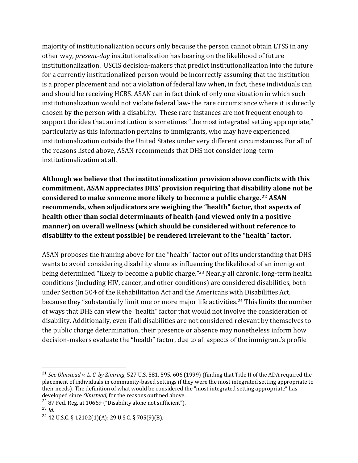majority of institutionalization occurs only because the person cannot obtain LTSS in any other way, *present-day* institutionalization has bearing on the likelihood of future institutionalization. USCIS decision-makers that predict institutionalization into the future for a currently institutionalized person would be incorrectly assuming that the institution is a proper placement and not a violation of federal law when, in fact, these individuals can and should be receiving HCBS. ASAN can in fact think of only one situation in which such institutionalization would not violate federal law- the rare circumstance where it is directly chosen by the person with a disability. These rare instances are not frequent enough to support the idea that an institution is sometimes "the most integrated setting appropriate," particularly as this information pertains to immigrants, who may have experienced institutionalization outside the United States under very different circumstances. For all of the reasons listed above, ASAN recommends that DHS not consider long-term institutionalization at all.

**Although we believe that the institutionalization provision above conflicts with this commitment, ASAN appreciates DHS' provision requiring that disability alone not be considered to make someone more likely to become a public charge.<sup>22</sup> ASAN recommends, when adjudicators are weighing the "health" factor, that aspects of health other than social determinants of health (and viewed only in a positive manner) on overall wellness (which should be considered without reference to disability to the extent possible) be rendered irrelevant to the "health" factor.** 

ASAN proposes the framing above for the "health" factor out of its understanding that DHS wants to avoid considering disability alone as influencing the likelihood of an immigrant being determined "likely to become a public charge."<sup>23</sup> Nearly all chronic, long-term health conditions (including HIV, cancer, and other conditions) are considered disabilities, both under Section 504 of the Rehabilitation Act and the Americans with Disabilities Act, because they "substantially limit one or more major life activities.<sup>24</sup> This limits the number of ways that DHS can view the "health" factor that would not involve the consideration of disability. Additionally, even if all disabilities are not considered relevant by themselves to the public charge determination, their presence or absence may nonetheless inform how decision-makers evaluate the "health" factor, due to all aspects of the immigrant's profile

 <sup>21</sup> *See Olmstead v. L. C. by Zimring*, 527 U.S. 581, 595, 606 (1999) (finding that Title II of the ADA required the placement of individuals in community-based settings if they were the most integrated setting appropriate to their needs). The definition of what would be considered the "most integrated setting appropriate" has developed since *Olmstead,* for the reasons outlined above.

 $22$  87 Fed. Reg. at 10669 ("Disability alone not sufficient").

 $^{23}$  *Id*.

 $24$  42 U.S.C. § 12102(1)(A); 29 U.S.C. § 705(9)(B).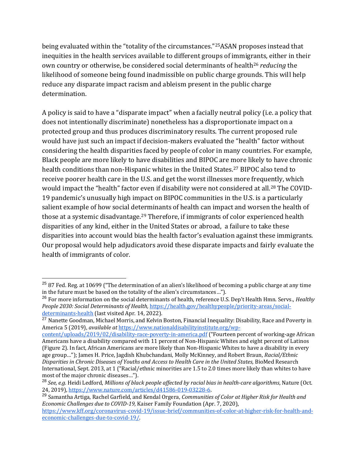being evaluated within the "totality of the circumstances."25ASAN proposes instead that inequities in the health services available to different groups of immigrants, either in their own country or otherwise, be considered social determinants of health<sup>26</sup> *reducing* the likelihood of someone being found inadmissible on public charge grounds. This will help reduce any disparate impact racism and ableism present in the public charge determination.

A policy is said to have a "disparate impact" when a facially neutral policy (i.e. a policy that does not intentionally discriminate) nonetheless has a disproportionate impact on a protected group and thus produces discriminatory results. The current proposed rule would have just such an impact if decision-makers evaluated the "health" factor without considering the health disparities faced by people of color in many countries. For example, Black people are more likely to have disabilities and BIPOC are more likely to have chronic health conditions than non-Hispanic whites in the United States.<sup>27</sup> BIPOC also tend to receive poorer health care in the U.S. and get the worst illnesses more frequently, which would impact the "health" factor even if disability were not considered at all.<sup>28</sup> The COVID-19 pandemic's unusually high impact on BIPOC communities in the U.S. is a particularly salient example of how social determinants of health can impact and worsen the health of those at a systemic disadvantage.<sup>29</sup> Therefore, if immigrants of color experienced health disparities of any kind, either in the United States or abroad, a failure to take these disparities into account would bias the health factor's evaluation against these immigrants. Our proposal would help adjudicators avoid these disparate impacts and fairly evaluate the health of immigrants of color.

 $\overline{a}$ 

<sup>27</sup> Nanette Goodman, Michael Morris, and Kelvin Boston, Financial Inequality: Disability, Race and Poverty in America 5 (2019), *available at* [https://www.nationaldisabilityinstitute.org/wp-](https://www.nationaldisabilityinstitute.org/wp-content/uploads/2019/02/disability-race-poverty-in-america.pdf)

[content/uploads/2019/02/disability-race-poverty-in-america.pdf](https://www.nationaldisabilityinstitute.org/wp-content/uploads/2019/02/disability-race-poverty-in-america.pdf) ("Fourteen percent of working-age African Americans have a disability compared with 11 percent of Non-Hispanic Whites and eight percent of Latinos (Figure 2). In fact, African Americans are more likely than Non-Hispanic Whites to have a disability in every age group…"); James H. Price, Jagdish Khubchandani, Molly McKinney, and Robert Braun, *Racial/Ethnic Disparities in Chronic Diseases of Youths and Access to Health Care in the United States,* BioMed Research International, Sept. 2013, at 1 ("Racial/ethnic minorities are 1.5 to 2.0 times more likely than whites to have most of the major chronic diseases…").

<sup>&</sup>lt;sup>25</sup> 87 Fed. Reg. at 10699 ("The determination of an alien's likelihood of becoming a public charge at any time in the future must be based on the totality of the alien's circumstances…").

<sup>26</sup> For more information on the social determinants of health, reference U.S. Dep't Health Hmn. Servs., *Healthy People 2030: Social Determinants of Health,* [https://health.gov/healthypeople/priority-areas/social](https://health.gov/healthypeople/priority-areas/social-determinants-health)[determinants-health](https://health.gov/healthypeople/priority-areas/social-determinants-health) (last visited Apr. 14, 2022).

<sup>28</sup> *See, e.g.* Heidi Ledford, *Millions of black people affected by racial bias in health-care algorithms*, Nature (Oct. 24, 2019)[, https://www.nature.com/articles/d41586-019-03228-6.](https://www.nature.com/articles/d41586-019-03228-6)

<sup>29</sup> Samantha Artiga, Rachel Garfield, and Kendal Orgera, *Communities of Color at Higher Risk for Health and Economic Challenges due to COVID-19,* Kaiser Family Foundation (Apr. 7, 2020),

[https://www.kff.org/coronavirus-covid-19/issue-brief/communities-of-color-at-higher-risk-for-health-and](https://www.kff.org/coronavirus-covid-19/issue-brief/communities-of-color-at-higher-risk-for-health-and-economic-challenges-due-to-covid-19/)[economic-challenges-due-to-covid-19/.](https://www.kff.org/coronavirus-covid-19/issue-brief/communities-of-color-at-higher-risk-for-health-and-economic-challenges-due-to-covid-19/)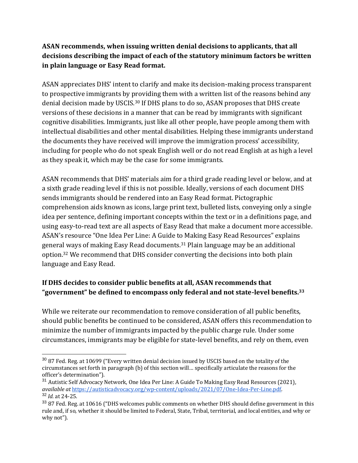#### **ASAN recommends, when issuing written denial decisions to applicants, that all decisions describing the impact of each of the statutory minimum factors be written in plain language or Easy Read format.**

ASAN appreciates DHS' intent to clarify and make its decision-making process transparent to prospective immigrants by providing them with a written list of the reasons behind any denial decision made by USCIS.<sup>30</sup> If DHS plans to do so, ASAN proposes that DHS create versions of these decisions in a manner that can be read by immigrants with significant cognitive disabilities. Immigrants, just like all other people, have people among them with intellectual disabilities and other mental disabilities. Helping these immigrants understand the documents they have received will improve the immigration process' accessibility, including for people who do not speak English well or do not read English at as high a level as they speak it, which may be the case for some immigrants.

ASAN recommends that DHS' materials aim for a third grade reading level or below, and at a sixth grade reading level if this is not possible. Ideally, versions of each document DHS sends immigrants should be rendered into an Easy Read format. Pictographic comprehension aids known as icons, large print text, bulleted lists, conveying only a single idea per sentence, defining important concepts within the text or in a definitions page, and using easy-to-read text are all aspects of Easy Read that make a document more accessible. ASAN's resource "One Idea Per Line: A Guide to Making Easy Read Resources" explains general ways of making Easy Read documents.<sup>31</sup> Plain language may be an additional option.<sup>32</sup> We recommend that DHS consider converting the decisions into both plain language and Easy Read.

# **If DHS decides to consider public benefits at all, ASAN recommends that "government" be defined to encompass only federal and not state-level benefits.<sup>33</sup>**

While we reiterate our recommendation to remove consideration of all public benefits, should public benefits be continued to be considered, ASAN offers this recommendation to minimize the number of immigrants impacted by the public charge rule. Under some circumstances, immigrants may be eligible for state-level benefits, and rely on them, even

<sup>&</sup>lt;sup>30</sup> 87 Fed. Reg. at 10699 ("Every written denial decision issued by USCIS based on the totality of the circumstances set forth in paragraph (b) of this section will… specifically articulate the reasons for the officer's determination").

 $31$  Autistic Self Advocacy Network, One Idea Per Line: A Guide To Making Easy Read Resources (2021), *available at* [https://autisticadvocacy.org/wp-content/uploads/2021/07/One-Idea-Per-Line.pdf.](https://autisticadvocacy.org/wp-content/uploads/2021/07/One-Idea-Per-Line.pdf) <sup>32</sup> *Id.* at 24-25.

<sup>&</sup>lt;sup>33</sup> 87 Fed. Reg. at 10616 ("DHS welcomes public comments on whether DHS should define government in this rule and, if so, whether it should be limited to Federal, State, Tribal, territorial, and local entities, and why or why not").